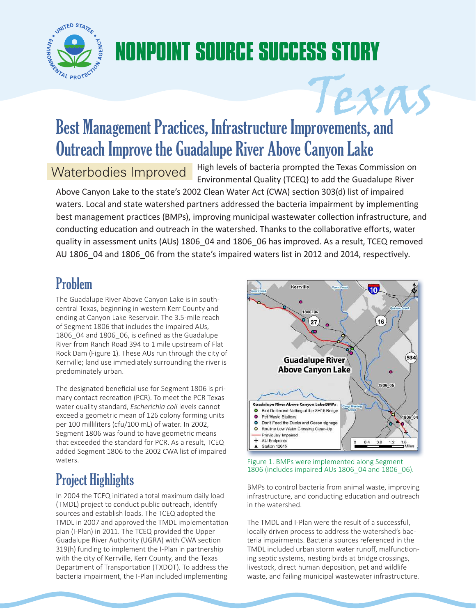

# **NONPOINT SOURCE SUCCESS STORY**



## Best Management Practices, Infrastructure Improvements, and Outreach Improve the Guadalupe River Above Canyon Lake

Waterbodies Improved High levels of bacteria prompted the Texas Commission on Environmental Quality (TCEQ) to add the Guadalupe River

Above Canyon Lake to the state's 2002 Clean Water Act (CWA) section 303(d) list of impaired waters. Local and state watershed partners addressed the bacteria impairment by implementing best management practices (BMPs), improving municipal wastewater collection infrastructure, and conducting education and outreach in the watershed. Thanks to the collaborative efforts, water quality in assessment units (AUs) 1806 04 and 1806 06 has improved. As a result, TCEQ removed AU 1806 04 and 1806 06 from the state's impaired waters list in 2012 and 2014, respectively.

### Problem

The Guadalupe River Above Canyon Lake is in southcentral Texas, beginning in western Kerr County and ending at Canyon Lake Reservoir. The 3.5-mile reach of Segment 1806 that includes the impaired AUs, 1806 04 and 1806 06, is defined as the Guadalupe River from Ranch Road 394 to 1 mile upstream of Flat Rock Dam (Figure 1). These AUs run through the city of Kerrville; land use immediately surrounding the river is predominately urban.

The designated beneficial use for Segment 1806 is primary contact recreation (PCR). To meet the PCR Texas water quality standard, *Escherichia coli* levels cannot exceed a geometric mean of 126 colony forming units per 100 milliliters (cfu/100 mL) of water. In 2002, Segment 1806 was found to have geometric means that exceeded the standard for PCR. As a result, TCEQ added Segment 1806 to the 2002 CWA list of impaired waters.

### Project Highlights

In 2004 the TCEQ initiated a total maximum daily load (TMDL) project to conduct public outreach, identify sources and establish loads. The TCEQ adopted the TMDL in 2007 and approved the TMDL implementation plan (I-Plan) in 2011. The TCEQ provided the Upper Guadalupe River Authority (UGRA) with CWA section 319(h) funding to implement the I-Plan in partnership with the city of Kerrville, Kerr County, and the Texas Department of Transportation (TXDOT). To address the bacteria impairment, the I-Plan included implementing



Figure 1. BMPs were implemented along Segment 1806 (includes impaired AUs 1806\_04 and 1806\_06).

BMPs to control bacteria from animal waste, improving infrastructure, and conducting education and outreach in the watershed.

The TMDL and I-Plan were the result of a successful, locally driven process to address the watershed's bacteria impairments. Bacteria sources referenced in the TMDL included urban storm water runoff, malfunctioning septic systems, nesting birds at bridge crossings, livestock, direct human deposition, pet and wildlife waste, and failing municipal wastewater infrastructure.